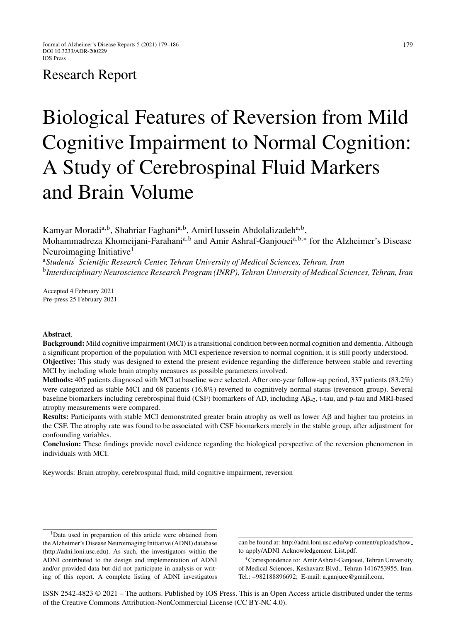# Research Report

# Biological Features of Reversion from Mild Cognitive Impairment to Normal Cognition: A Study of Cerebrospinal Fluid Markers and Brain Volume

Kamyar Moradi<sup>a,b</sup>, Shahriar Faghani<sup>a,b</sup>, AmirHussein Abdolalizadeh<sup>a,b</sup>,

Mohammadreza Khomeijani-Farahani<sup>a,b</sup> and Amir Ashraf-Ganjouei<sup>a,b,∗</sup> for the Alzheimer's Disease Neuroimaging Initiative<sup>1</sup>

<sup>a</sup>*Students Scientific Research Center, Tehran University of Medical Sciences, Tehran, Iran* <sup>b</sup>*Interdisciplinary Neuroscience Research Program (INRP), Tehran University of Medical Sciences, Tehran, Iran*

Accepted 4 February 2021 Pre-press 25 February 2021

## **Abstract**.

**Background:** Mild cognitive impairment (MCI) is a transitional condition between normal cognition and dementia. Although a significant proportion of the population with MCI experience reversion to normal cognition, it is still poorly understood. **Objective:** This study was designed to extend the present evidence regarding the difference between stable and reverting MCI by including whole brain atrophy measures as possible parameters involved.

**Methods:** 405 patients diagnosed with MCI at baseline were selected. After one-year follow-up period, 337 patients (83.2%) were categorized as stable MCI and 68 patients (16.8%) reverted to cognitively normal status (reversion group). Several baseline biomarkers including cerebrospinal fluid (CSF) biomarkers of AD, including  $A\beta_{42}$ , t-tau, and p-tau and MRI-based atrophy measurements were compared.

**Results:** Participants with stable MCI demonstrated greater brain atrophy as well as lower  $A\beta$  and higher tau proteins in the CSF. The atrophy rate was found to be associated with CSF biomarkers merely in the stable group, after adjustment for confounding variables.

**Conclusion:** These findings provide novel evidence regarding the biological perspective of the reversion phenomenon in individuals with MCI.

Keywords: Brain atrophy, cerebrospinal fluid, mild cognitive impairment, reversion

ISSN 2542-4823 © 2021 – The authors. Published by IOS Press. This is an Open Access article distributed under the terms of the [Creative Commons Attribution-NonCommercial License \(CC BY-NC 4.0\).](https://creativecommons.org/licenses/by-nc/4.0/)

<sup>&</sup>lt;sup>1</sup>Data used in preparation of this article were obtained from the Alzheimer's Disease Neuroimaging Initiative (ADNI) database ([http://adni.loni.usc.edu\)](http://adni.loni.usc.edu). As such, the investigators within the ADNI contributed to the design and implementation of ADNI and/or provided data but did not participate in analysis or writing of this report. A complete listing of ADNI investigators

can be found at: [http://adni.loni.usc.edu/wp-content/uploads/how](http://adni.loni.usc.edu/wp-content/uploads/how_to_apply/ADNI_Acknowledgement_List.pdf) to apply/ADNI Acknowledgement List.pdf.

<sup>∗</sup>Correspondence to: Amir Ashraf-Ganjouei, Tehran University of Medical Sciences, Keshavarz Blvd., Tehran 1416753955, Iran. Tel.: +982188896692; E-mail: [a.ganjuee@gmail.com](mailto:a.ganjuee@gmail.com).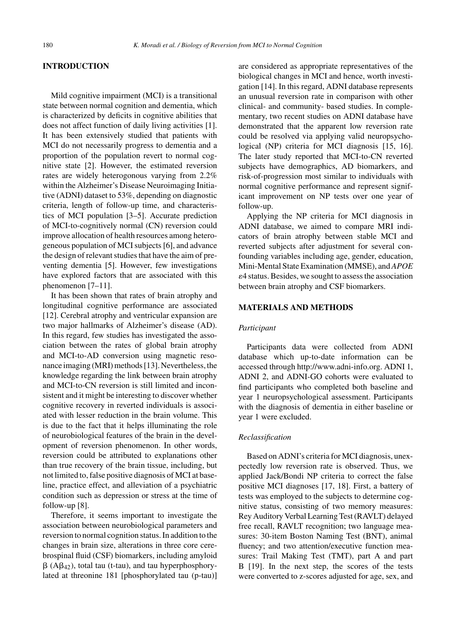# **INTRODUCTION**

Mild cognitive impairment (MCI) is a transitional state between normal cognition and dementia, which is characterized by deficits in cognitive abilities that does not affect function of daily living activities [1]. It has been extensively studied that patients with MCI do not necessarily progress to dementia and a proportion of the population revert to normal cognitive state [2]. However, the estimated reversion rates are widely heterogonous varying from 2.2% within the Alzheimer's Disease Neuroimaging Initiative (ADNI) dataset to 53%, depending on diagnostic criteria, length of follow-up time, and characteristics of MCI population [3–5]. Accurate prediction of MCI-to-cognitively normal (CN) reversion could improve allocation of health resources among heterogeneous population of MCI subjects [6], and advance the design of relevant studies that have the aim of preventing dementia [5]. However, few investigations have explored factors that are associated with this phenomenon [7–11].

It has been shown that rates of brain atrophy and longitudinal cognitive performance are associated [12]. Cerebral atrophy and ventricular expansion are two major hallmarks of Alzheimer's disease (AD). In this regard, few studies has investigated the association between the rates of global brain atrophy and MCI-to-AD conversion using magnetic resonance imaging (MRI) methods [13]. Nevertheless, the knowledge regarding the link between brain atrophy and MCI-to-CN reversion is still limited and inconsistent and it might be interesting to discover whether cognitive recovery in reverted individuals is associated with lesser reduction in the brain volume. This is due to the fact that it helps illuminating the role of neurobiological features of the brain in the development of reversion phenomenon. In other words, reversion could be attributed to explanations other than true recovery of the brain tissue, including, but not limited to, false positive diagnosis of MCI at baseline, practice effect, and alleviation of a psychiatric condition such as depression or stress at the time of follow-up [8].

Therefore, it seems important to investigate the association between neurobiological parameters and reversion to normal cognition status. In addition to the changes in brain size, alterations in three core cerebrospinal fluid (CSF) biomarkers, including amyloid  $\beta$  (A $\beta$ <sub>42</sub>), total tau (t-tau), and tau hyperphosphorylated at threonine 181 [phosphorylated tau (p-tau)] are considered as appropriate representatives of the biological changes in MCI and hence, worth investigation [14]. In this regard, ADNI database represents an unusual reversion rate in comparison with other clinical- and community- based studies. In complementary, two recent studies on ADNI database have demonstrated that the apparent low reversion rate could be resolved via applying valid neuropsychological (NP) criteria for MCI diagnosis [15, 16]. The later study reported that MCI-to-CN reverted subjects have demographics, AD biomarkers, and risk-of-progression most similar to individuals with normal cognitive performance and represent significant improvement on NP tests over one year of follow-up.

Applying the NP criteria for MCI diagnosis in ADNI database, we aimed to compare MRI indicators of brain atrophy between stable MCI and reverted subjects after adjustment for several confounding variables including age, gender, education, Mini-Mental State Examination (MMSE), and *APOE* 4 status. Besides, we sought to assess the association between brain atrophy and CSF biomarkers.

# **MATERIALS AND METHODS**

# *Participant*

Participants data were collected from ADNI database which up-to-date information can be accessed through<http://www.adni-info.org>. ADNI 1, ADNI 2, and ADNI-GO cohorts were evaluated to find participants who completed both baseline and year 1 neuropsychological assessment. Participants with the diagnosis of dementia in either baseline or year 1 were excluded.

## *Reclassification*

Based on ADNI's criteria for MCI diagnosis, unexpectedly low reversion rate is observed. Thus, we applied Jack/Bondi NP criteria to correct the false positive MCI diagnoses [17, 18]. First, a battery of tests was employed to the subjects to determine cognitive status, consisting of two memory measures: Rey Auditory Verbal Learning Test (RAVLT) delayed free recall, RAVLT recognition; two language measures: 30-item Boston Naming Test (BNT), animal fluency; and two attention/executive function measures: Trail Making Test (TMT), part A and part B [19]. In the next step, the scores of the tests were converted to z-scores adjusted for age, sex, and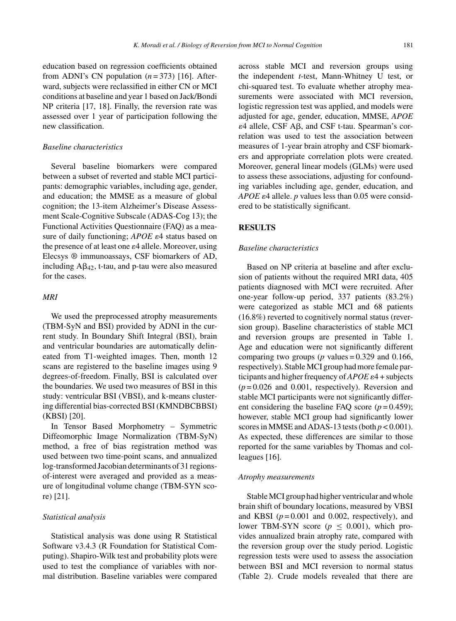education based on regression coefficients obtained from ADNI's CN population  $(n=373)$  [16]. Afterward, subjects were reclassified in either CN or MCI conditions at baseline and year 1 based on Jack/Bondi NP criteria [17, 18]. Finally, the reversion rate was assessed over 1 year of participation following the new classification.

## *Baseline characteristics*

Several baseline biomarkers were compared between a subset of reverted and stable MCI participants: demographic variables, including age, gender, and education; the MMSE as a measure of global cognition; the 13-item Alzheimer's Disease Assessment Scale-Cognitive Subscale (ADAS-Cog 13); the Functional Activities Questionnaire (FAQ) as a measure of daily functioning; *APOE*  $\varepsilon$ 4 status based on the presence of at least one  $\varepsilon$ 4 allele. Moreover, using Elecsys ® immunoassays, CSF biomarkers of AD, including  $A\beta_{42}$ , t-tau, and p-tau were also measured for the cases.

# *MRI*

We used the preprocessed atrophy measurements (TBM-SyN and BSI) provided by ADNI in the current study. In Boundary Shift Integral (BSI), brain and ventricular boundaries are automatically delineated from T1-weighted images. Then, month 12 scans are registered to the baseline images using 9 degrees-of-freedom. Finally, BSI is calculated over the boundaries. We used two measures of BSI in this study: ventricular BSI (VBSI), and k-means clustering differential bias-corrected BSI (KMNDBCBBSI) (KBSI) [20].

In Tensor Based Morphometry – Symmetric Diffeomorphic Image Normalization (TBM-SyN) method, a free of bias registration method was used between two time-point scans, and annualized log-transformed Jacobian determinants of 31 regionsof-interest were averaged and provided as a measure of longitudinal volume change (TBM-SYN score) [21].

#### *Statistical analysis*

Statistical analysis was done using R Statistical Software v3.4.3 (R Foundation for Statistical Computing). Shapiro-Wilk test and probability plots were used to test the compliance of variables with normal distribution. Baseline variables were compared

across stable MCI and reversion groups using the independent *t*-test, Mann-Whitney U test, or chi-squared test. To evaluate whether atrophy measurements were associated with MCI reversion, logistic regression test was applied, and models were adjusted for age, gender, education, MMSE, *APOE*  $\varepsilon$ 4 allele, CSF A $\beta$ , and CSF t-tau. Spearman's correlation was used to test the association between measures of 1-year brain atrophy and CSF biomarkers and appropriate correlation plots were created. Moreover, general linear models (GLMs) were used to assess these associations, adjusting for confounding variables including age, gender, education, and *APOE*  $\varepsilon$ 4 allele. *p* values less than 0.05 were considered to be statistically significant.

# **RESULTS**

#### *Baseline characteristics*

Based on NP criteria at baseline and after exclusion of patients without the required MRI data, 405 patients diagnosed with MCI were recruited. After one-year follow-up period, 337 patients (83.2%) were categorized as stable MCI and 68 patients (16.8%) reverted to cognitively normal status (reversion group). Baseline characteristics of stable MCI and reversion groups are presented in Table 1. Age and education were not significantly different comparing two groups ( $p$  values = 0.329 and 0.166, respectively). Stable MCI group had more female participants and higher frequency of  $APOE \epsilon 4$  + subjects  $(p=0.026$  and 0.001, respectively). Reversion and stable MCI participants were not significantly different considering the baseline FAQ score  $(p=0.459)$ ; however, stable MCI group had significantly lower scores in MMSE and ADAS-13 tests (both  $p < 0.001$ ). As expected, these differences are similar to those reported for the same variables by Thomas and colleagues [16].

#### *Atrophy measurements*

Stable MCI group had higher ventricular and whole brain shift of boundary locations, measured by VBSI and KBSI  $(p=0.001$  and 0.002, respectively), and lower TBM-SYN score ( $p \leq 0.001$ ), which provides annualized brain atrophy rate, compared with the reversion group over the study period. Logistic regression tests were used to assess the association between BSI and MCI reversion to normal status (Table 2). Crude models revealed that there are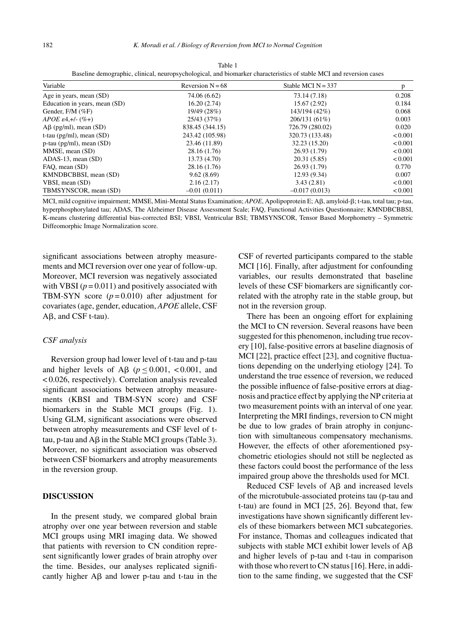| Variable                        | Reversion $N = 68$ | Stable MCI $N = 337$ | p            |  |
|---------------------------------|--------------------|----------------------|--------------|--|
| Age in years, mean (SD)         | 74.06 (6.62)       | 73.14 (7.18)         | 0.208        |  |
| Education in years, mean (SD)   | 16.20(2.74)        | 15.67(2.92)          | 0.184        |  |
| Gender, $F/M$ (%F)              | 19/49 (28%)        | 143/194 (42%)        | 0.068        |  |
| $APOE \epsilon 4, +/- (% +)$    | 25/43 (37%)        | 206/131 (61%)        | 0.003        |  |
| $\text{AB}$ (pg/ml), mean (SD)  | 838.45 (344.15)    | 726.79 (280.02)      | 0.020        |  |
| t-tau ( $pg/ml$ ), mean (SD)    | 243.42 (105.98)    | 320.73 (133.48)      | < 0.001      |  |
| $p$ -tau ( $pg/ml$ ), mean (SD) | 23.46 (11.89)      | 32.23 (15.20)        | ${}_{0.001}$ |  |
| MMSE, mean (SD)                 | 28.16 (1.76)       | 26.93 (1.79)         | < 0.001      |  |
| $ADAS-13$ , mean $(SD)$         | 13.73 (4.70)       | 20.31 (5.85)         | ${}_{0.001}$ |  |
| FAO, mean (SD)                  | 28.16 (1.76)       | 26.93 (1.79)         | 0.770        |  |
| KMNDBCBBSI, mean (SD)           | 9.62(8.69)         | 12.93(9.34)          | 0.007        |  |
| VBSI, mean (SD)                 | 2.16(2.17)         | 3.43(2.81)           | < 0.001      |  |
| TBMSYNSCOR, mean (SD)           | $-0.01(0.011)$     | $-0.017(0.013)$      | < 0.001      |  |

Table 1 Baseline demographic, clinical, neuropsychological, and biomarker characteristics of stable MCI and reversion cases

MCI, mild cognitive impairment; MMSE, Mini-Mental Status Examination; APOE, Apolipoprotein E; Aβ, amyloid-β; t-tau, total tau; p-tau, hyperphosphorylated tau; ADAS, The Alzheimer Disease Assessment Scale; FAQ, Functional Activities Questionnaire; KMNDBCBBSI, K-means clustering differential bias-corrected BSI; VBSI, Ventricular BSI; TBMSYNSCOR, Tensor Based Morphometry – Symmetric Diffeomorphic Image Normalization score.

significant associations between atrophy measurements and MCI reversion over one year of follow-up. Moreover, MCI reversion was negatively associated with VBSI  $(p = 0.011)$  and positively associated with TBM-SYN score  $(p=0.010)$  after adjustment for covariates (age, gender, education, *APOE* allele, CSF  $A\beta$ , and CSF t-tau).

#### *CSF analysis*

Reversion group had lower level of t-tau and p-tau and higher levels of A $\beta$  ( $p \le 0.001$ , <0.001, and < 0.026, respectively). Correlation analysis revealed significant associations between atrophy measurements (KBSI and TBM-SYN score) and CSF biomarkers in the Stable MCI groups (Fig. 1). Using GLM, significant associations were observed between atrophy measurements and CSF level of ttau, p-tau and  $A\beta$  in the Stable MCI groups (Table 3). Moreover, no significant association was observed between CSF biomarkers and atrophy measurements in the reversion group.

#### **DISCUSSION**

In the present study, we compared global brain atrophy over one year between reversion and stable MCI groups using MRI imaging data. We showed that patients with reversion to CN condition represent significantly lower grades of brain atrophy over the time. Besides, our analyses replicated significantly higher  $\text{A}\beta$  and lower p-tau and t-tau in the

CSF of reverted participants compared to the stable MCI [16]. Finally, after adjustment for confounding variables, our results demonstrated that baseline levels of these CSF biomarkers are significantly correlated with the atrophy rate in the stable group, but not in the reversion group.

There has been an ongoing effort for explaining the MCI to CN reversion. Several reasons have been suggested for this phenomenon, including true recovery [10], false-positive errors at baseline diagnosis of MCI [22], practice effect [23], and cognitive fluctuations depending on the underlying etiology [24]. To understand the true essence of reversion, we reduced the possible influence of false-positive errors at diagnosis and practice effect by applying the NP criteria at two measurement points with an interval of one year. Interpreting the MRI findings, reversion to CN might be due to low grades of brain atrophy in conjunction with simultaneous compensatory mechanisms. However, the effects of other aforementioned psychometric etiologies should not still be neglected as these factors could boost the performance of the less impaired group above the thresholds used for MCI.

Reduced CSF levels of  $A\beta$  and increased levels of the microtubule-associated proteins tau (p-tau and t-tau) are found in MCI [25, 26]. Beyond that, few investigations have shown significantly different levels of these biomarkers between MCI subcategories. For instance, Thomas and colleagues indicated that subjects with stable MCI exhibit lower levels of  $A\beta$ and higher levels of p-tau and t-tau in comparison with those who revert to CN status [16]. Here, in addition to the same finding, we suggested that the CSF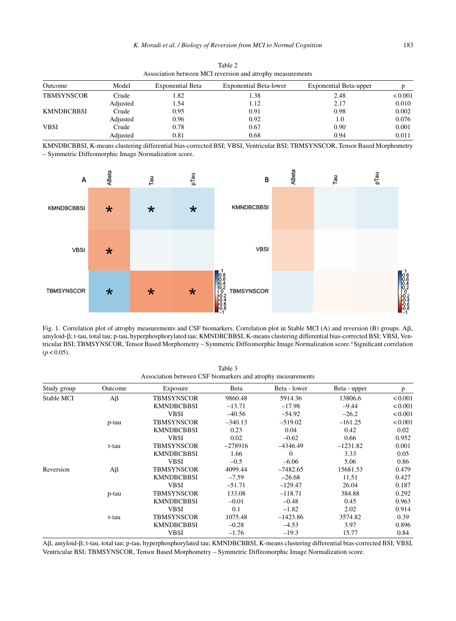| Association between MCI reversion and atrophy measurements |          |                         |                               |                               |         |  |  |  |
|------------------------------------------------------------|----------|-------------------------|-------------------------------|-------------------------------|---------|--|--|--|
| Outcome                                                    | Model    | <b>Exponential Beta</b> | <b>Exponential Beta-lower</b> | <b>Exponential Beta-upper</b> |         |  |  |  |
| <b>TBMSYNSCOR</b>                                          | Crude    | l.82                    | 1.38                          | 2.48                          | < 0.001 |  |  |  |
|                                                            | Adjusted | l .54                   | 1.12                          | 2.17                          | 0.010   |  |  |  |
| <b>KMNDBCBBSI</b>                                          | Crude    | 0.95                    | 0.91                          | 0.98                          | 0.002   |  |  |  |
|                                                            | Adjusted | 0.96                    | 0.92                          | 1.0                           | 0.076   |  |  |  |
| <b>VBSI</b>                                                | Crude    | 0.78                    | 0.67                          | 0.90                          | 0.001   |  |  |  |
|                                                            | Adjusted | 0.81                    | 0.68                          | 0.94                          | 0.011   |  |  |  |

Table 2 Association between MCI reversion and atrophy measurements

KMNDBCBBSI, K-means clustering differential bias-corrected BSI; VBSI, Ventricular BSI; TBMSYNSCOR, Tensor Based Morphometry – Symmetric Diffeomorphic Image Normalization score.



Fig. 1. Correlation plot of atrophy measurements and CSF biomarkers. Correlation plot in Stable MCI (A) and reversion (B) groups. A $\beta$ , amyloid-B; t-tau, total tau; p-tau, hyperphosphorylated tau; KMNDBCBBSI, K-means clustering differential bias-corrected BSI; VBSI, Ventricular BSI; TBMSYNSCOR, Tensor Based Morphometry – Symmetric Diffeomorphic Image Normalization score.∗Significant correlation  $(p < 0.05)$ .

| Table 3                                                     |  |
|-------------------------------------------------------------|--|
| Association between CSF biomarkers and atrophy measurements |  |

| Study group | Outcome  | Exposure          | Beta      | Beta - lower | Beta - upper | p       |
|-------------|----------|-------------------|-----------|--------------|--------------|---------|
| Stable MCI  | Aβ       | TBMSYNSCOR        | 9860.48   | 5914.36      | 13806.6      | < 0.001 |
|             |          | <b>KMNDBCBBSI</b> | $-13.71$  | $-17.98$     | $-9.44$      | < 0.001 |
|             |          | <b>VBSI</b>       | $-40.56$  | $-54.92$     | $-26.2$      | < 0.001 |
|             | p-tau    | TBMSYNSCOR        | $-340.13$ | $-519.02$    | $-161.25$    | < 0.001 |
|             |          | <b>KMNDBCBBSI</b> | 0.23      | 0.04         | 0.42         | 0.02    |
|             |          | <b>VBSI</b>       | 0.02      | $-0.62$      | 0.66         | 0.952   |
|             | t-tau    | TBMSYNSCOR        | $-278916$ | $-4346.49$   | $-1231.82$   | 0.001   |
|             |          | <b>KMNDBCBBSI</b> | 1.66      | $\mathbf{0}$ | 3.33         | 0.05    |
|             |          | <b>VBSI</b>       | $-0.5$    | $-6.06$      | 5.06         | 0.86    |
| Reversion   | $A\beta$ | TBMSYNSCOR        | 4099.44   | $-7482.65$   | 15681.53     | 0.479   |
|             |          | <b>KMNDBCBBSI</b> | $-7.59$   | $-26.68$     | 11.51        | 0.427   |
|             |          | <b>VBSI</b>       | $-51.71$  | $-129.47$    | 26.04        | 0.187   |
|             | p-tau    | TBMSYNSCOR        | 133.08    | $-118.71$    | 384.88       | 0.292   |
|             |          | <b>KMNDBCBBSI</b> | $-0.01$   | $-0.48$      | 0.45         | 0.963   |
|             |          | <b>VBSI</b>       | 0.1       | $-1.82$      | 2.02         | 0.914   |
|             | t-tau    | TBMSYNSCOR        | 1075.48   | $-1423.86$   | 3574.82      | 0.39    |
|             |          | <b>KMNDBCBBSI</b> | $-0.28$   | $-4.53$      | 3.97         | 0.896   |
|             |          | <b>VBSI</b>       | $-1.76$   | $-19.3$      | 15.77        | 0.84    |

Aß, amyloid-ß; t-tau, total tau; p-tau, hyperphosphorylated tau; KMNDBCBBSI, K-means clustering differential bias-corrected BSI; VBSI, Ventricular BSI; TBMSYNSCOR, Tensor Based Morphometry – Symmetric Diffeomorphic Image Normalization score.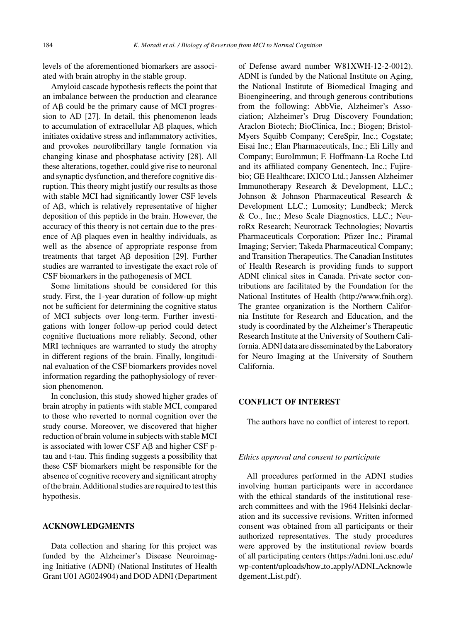levels of the aforementioned biomarkers are associated with brain atrophy in the stable group.

Amyloid cascade hypothesis reflects the point that an imbalance between the production and clearance of  $\overrightarrow{AB}$  could be the primary cause of MCI progression to AD [27]. In detail, this phenomenon leads to accumulation of extracellular  $\text{A}\beta$  plaques, which initiates oxidative stress and inflammatory activities, and provokes neurofibrillary tangle formation via changing kinase and phosphatase activity [28]. All these alterations, together, could give rise to neuronal and synaptic dysfunction, and therefore cognitive disruption. This theory might justify our results as those with stable MCI had significantly lower CSF levels of  $A\beta$ , which is relatively representative of higher deposition of this peptide in the brain. However, the accuracy of this theory is not certain due to the presence of  $\text{A}\beta$  plaques even in healthy individuals, as well as the absence of appropriate response from treatments that target  $\text{A}\beta$  deposition [29]. Further studies are warranted to investigate the exact role of CSF biomarkers in the pathogenesis of MCI.

Some limitations should be considered for this study. First, the 1-year duration of follow-up might not be sufficient for determining the cognitive status of MCI subjects over long-term. Further investigations with longer follow-up period could detect cognitive fluctuations more reliably. Second, other MRI techniques are warranted to study the atrophy in different regions of the brain. Finally, longitudinal evaluation of the CSF biomarkers provides novel information regarding the pathophysiology of reversion phenomenon.

In conclusion, this study showed higher grades of brain atrophy in patients with stable MCI, compared to those who reverted to normal cognition over the study course. Moreover, we discovered that higher reduction of brain volume in subjects with stable MCI is associated with lower CSF  $\mathsf{A}\mathsf{B}$  and higher CSF ptau and t-tau. This finding suggests a possibility that these CSF biomarkers might be responsible for the absence of cognitive recovery and significant atrophy of the brain. Additional studies are required to test this hypothesis.

#### **ACKNOWLEDGMENTS**

Data collection and sharing for this project was funded by the Alzheimer's Disease Neuroimaging Initiative (ADNI) (National Institutes of Health Grant U01 AG024904) and DOD ADNI (Department of Defense award number W81XWH-12-2-0012). ADNI is funded by the National Institute on Aging, the National Institute of Biomedical Imaging and Bioengineering, and through generous contributions from the following: AbbVie, Alzheimer's Association; Alzheimer's Drug Discovery Foundation; Araclon Biotech; BioClinica, Inc.; Biogen; Bristol-Myers Squibb Company; CereSpir, Inc.; Cogstate; Eisai Inc.; Elan Pharmaceuticals, Inc.; Eli Lilly and Company; EuroImmun; F. Hoffmann-La Roche Ltd and its affiliated company Genentech, Inc.; Fujirebio; GE Healthcare; IXICO Ltd.; Janssen Alzheimer Immunotherapy Research & Development, LLC.; Johnson & Johnson Pharmaceutical Research & Development LLC.; Lumosity; Lundbeck; Merck & Co., Inc.; Meso Scale Diagnostics, LLC.; NeuroRx Research; Neurotrack Technologies; Novartis Pharmaceuticals Corporation; Pfizer Inc.; Piramal Imaging; Servier; Takeda Pharmaceutical Company; and Transition Therapeutics. The Canadian Institutes of Health Research is providing funds to support ADNI clinical sites in Canada. Private sector contributions are facilitated by the Foundation for the National Institutes of Health [\(http://www.fnih.org](http://www.fnih.org)). The grantee organization is the Northern California Institute for Research and Education, and the study is coordinated by the Alzheimer's Therapeutic Research Institute at the University of Southern California. ADNI data are disseminated by the Laboratory for Neuro Imaging at the University of Southern California.

#### **CONFLICT OF INTEREST**

The authors have no conflict of interest to report.

#### *Ethics approval and consent to participate*

All procedures performed in the ADNI studies involving human participants were in accordance with the ethical standards of the institutional research committees and with the 1964 Helsinki declaration and its successive revisions. Written informed consent was obtained from all participants or their authorized representatives. The study procedures were approved by the institutional review boards of all participating centers ([https://adni.loni.usc.edu/](https://adni.loni.usc.edu/wp-content/uploads/how_to_apply/ADNI_Acknowledgement_List.pdf) wp-content/uploads/how to apply/ADNI Acknowle dgement List.pdf).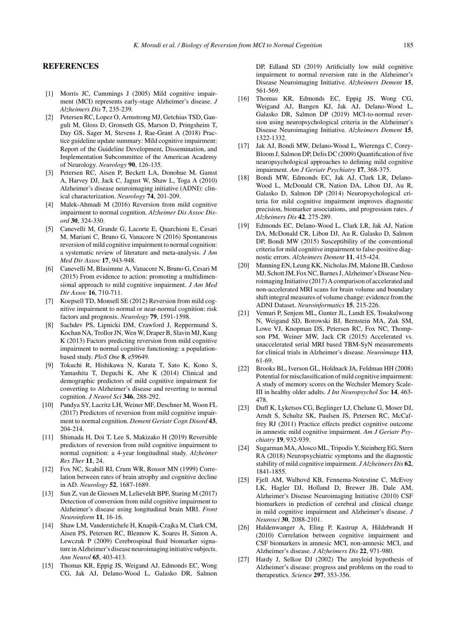#### **REFERENCES**

- [1] Morris JC, Cummings J (2005) Mild cognitive impairment (MCI) represents early-stage Alzheimer's disease. *J Alzheimers Dis* **7**, 235-239.
- [2] Petersen RC, Lopez O, Armstrong MJ, Getchius TSD, Ganguli M, Gloss D, Gronseth GS, Marson D, Pringsheim T, Day GS, Sager M, Stevens J, Rae-Grant A (2018) Practice guideline update summary: Mild cognitive impairment: Report of the Guideline Development, Dissemination, and Implementation Subcommittee of the American Academy of Neurology. *Neurology* **90**, 126-135.
- [3] Petersen RC, Aisen P, Beckett LA, Donohue M, Gamst A, Harvey DJ, Jack C, Jagust W, Shaw L, Toga A (2010) Alzheimer's disease neuroimaging initiative (ADNI): clinical characterization. *Neurology* **74**, 201-209.
- [4] Malek-Ahmadi M (2016) Reversion from mild cognitive impairment to normal cognition. *Alzheimer Dis Assoc Disord* **30**, 324-330.
- [5] Canevelli M, Grande G, Lacorte E, Quarchioni E, Cesari M, Mariani C, Bruno G, Vanacore N (2016) Spontaneous reversion of mild cognitive impairment to normal cognition: a systematic review of literature and meta-analysis. *J Am Med Dir Assoc* **17**, 943-948.
- [6] Canevelli M, Blasimme A, Vanacore N, Bruno G, Cesari M (2015) From evidence to action: promoting a multidimensional approach to mild cognitive impairment. *J Am Med Dir Assoc* **16**, 710-711.
- [7] Koepsell TD, Monsell SE (2012) Reversion from mild cognitive impairment to normal or near-normal cognition: risk factors and prognosis. *Neurology* **79**, 1591-1598.
- [8] Sachdev PS, Lipnicki DM, Crawford J, Reppermund S, Kochan NA, Trollor JN, Wen W, Draper B, Slavin MJ, Kang K (2013) Factors predicting reversion from mild cognitive impairment to normal cognitive functioning: a populationbased study. *PloS One* **8**, e59649.
- [9] Tokuchi R, Hishikawa N, Kurata T, Sato K, Kono S, Yamashita T, Deguchi K, Abe K (2014) Clinical and demographic predictors of mild cognitive impairment for converting to Alzheimer's disease and reverting to normal cognition. *J Neurol Sci* **346**, 288-292.
- [10] Pandya SY, Lacritz LH, Weiner MF, Deschner M, Woon FL (2017) Predictors of reversion from mild cognitive impairment to normal cognition. *Dement Geriatr Cogn Disord* **43**, 204-214.
- [11] Shimada H, Doi T, Lee S, Makizako H (2019) Reversible predictors of reversion from mild cognitive impairment to normal cognition: a 4-year longitudinal study. *Alzheimer Res Ther* **11**, 24.
- [12] Fox NC, Scahill RI, Crum WR, Rossor MN (1999) Correlation between rates of brain atrophy and cognitive decline in AD. *Neurology* **52**, 1687-1689.
- [13] Sun Z, van de Giessen M, Lelieveldt BPF, Staring M (2017) Detection of conversion from mild cognitive impairment to Alzheimer's disease using longitudinal brain MRI. *Front Neuroinform* **11**, 16-16.
- [14] Shaw LM, Vanderstichele H, Knapik-Czajka M, Clark CM, Aisen PS, Petersen RC, Blennow K, Soares H, Simon A, Lewczuk P (2009) Cerebrospinal fluid biomarker signature in Alzheimer's disease neuroimaging initiative subjects. *Ann Neurol* **65**, 403-413.
- [15] Thomas KR, Eppig JS, Weigand AJ, Edmonds EC, Wong CG, Jak AJ, Delano-Wood L, Galasko DR, Salmon

DP, Edland SD (2019) Artificially low mild cognitive impairment to normal reversion rate in the Alzheimer's Disease Neuroimaging Initiative. *Alzheimers Dement* **15**, 561-569.

- [16] Thomas KR, Edmonds EC, Eppig JS, Wong CG, Weigand AJ, Bangen KJ, Jak AJ, Delano-Wood L, Galasko DR, Salmon DP (2019) MCI-to-normal reversion using neuropsychological criteria in the Alzheimer's Disease Neuroimaging Initiative. *Alzheimers Dement* **15**, 1322-1332.
- [17] Jak AJ, Bondi MW, Delano-Wood L, Wierenga C, Corey-Bloom J, Salmon DP, Delis DC (2009) Quantification of five neuropsychological approaches to defining mild cognitive impairment. *Am J Geriatr Psychiatry* **17**, 368-375.
- [18] Bondi MW, Edmonds EC, Jak AJ, Clark LR, Delano-Wood L, McDonald CR, Nation DA, Libon DJ, Au R, Galasko D, Salmon DP (2014) Neuropsychological criteria for mild cognitive impairment improves diagnostic precision, biomarker associations, and progression rates. *J Alzheimers Dis* **42**, 275-289.
- [19] Edmonds EC, Delano-Wood L, Clark LR, Jak AJ, Nation DA, McDonald CR, Libon DJ, Au R, Galasko D, Salmon DP, Bondi MW (2015) Susceptibility of the conventional criteria for mild cognitive impairment to false-positive diagnostic errors. *Alzheimers Dement* **11**, 415-424.
- [20] Manning EN, Leung KK, Nicholas JM, Malone IB, Cardoso MJ, Schott JM, Fox NC, Barnes J, Alzheimer's Disease Neuroimaging Initiative (2017) A comparison of accelerated and non-accelerated MRI scans for brain volume and boundary shift integral measures of volume change: evidence from the ADNI Dataset. *Neuroinformatics* **15**, 215-226.
- [21] Vemuri P, Senjem ML, Gunter JL, Lundt ES, Tosakulwong N, Weigand SD, Borowski BJ, Bernstein MA, Zuk SM, Lowe VJ, Knopman DS, Petersen RC, Fox NC, Thompson PM, Weiner MW, Jack CR (2015) Accelerated vs. unaccelerated serial MRI based TBM-SyN measurements for clinical trials in Alzheimer's disease. *Neuroimage* **113**, 61-69.
- [22] Brooks BL, Iverson GL, Holdnack JA, Feldman HH (2008) Potential for misclassification of mild cognitive impairment: A study of memory scores on the Wechsler Memory Scale-III in healthy older adults. *J Int Neuropsychol Soc* **14**, 463- 478.
- [23] Duff K, Lyketsos CG, Beglinger LJ, Chelune G, Moser DJ, Arndt S, Schultz SK, Paulsen JS, Petersen RC, McCaffrey RJ (2011) Practice effects predict cognitive outcome in amnestic mild cognitive impairment. *Am J Geriatr Psychiatry* **19**, 932-939.
- [24] Sugarman MA, Alosco ML, Tripodis Y, Steinberg EG, Stern RA (2018) Neuropsychiatric symptoms and the diagnostic stability of mild cognitive impairment. *J Alzheimers Dis* **62**, 1841-1855.
- [25] Fjell AM, Walhovd KB, Fennema-Notestine C, McEvoy LK, Hagler DJ, Holland D, Brewer JB, Dale AM, Alzheimer's Disease Neuroimaging Initiative (2010) CSF biomarkers in prediction of cerebral and clinical change in mild cognitive impairment and Alzheimer's disease. *J Neurosci* **30**, 2088-2101.
- [26] Haldenwanger A, Eling P, Kastrup A, Hildebrandt H (2010) Correlation between cognitive impairment and CSF biomarkers in amnesic MCI, non-amnesic MCI, and Alzheimer's disease. *J Alzheimers Dis* **22**, 971-980.
- [27] Hardy J, Selkoe DJ (2002) The amyloid hypothesis of Alzheimer's disease: progress and problems on the road to therapeutics. *Science* **297**, 353-356.